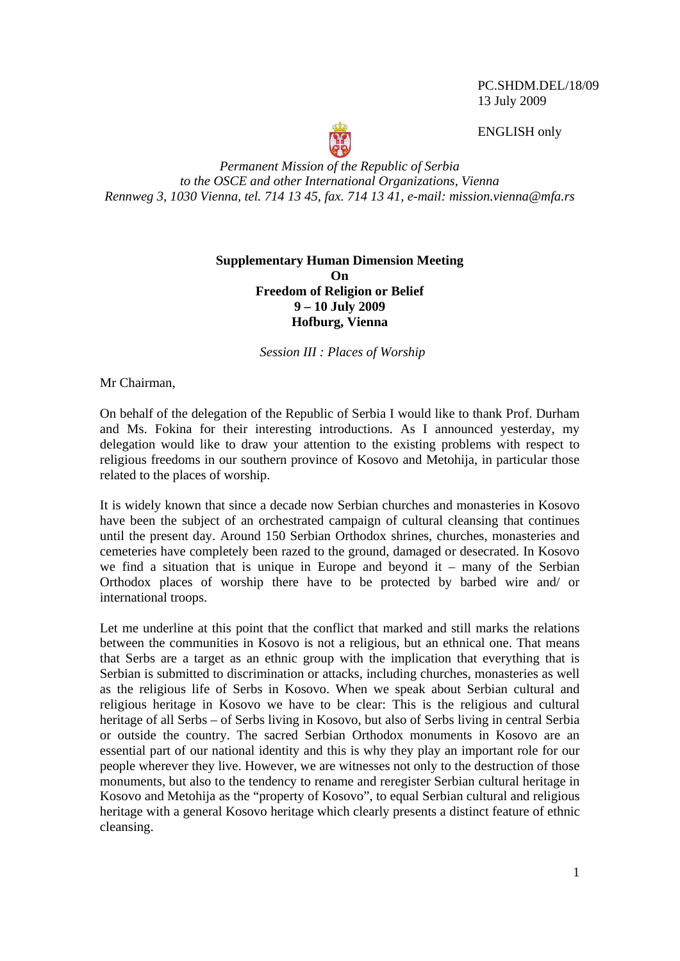PC.SHDM.DEL/18/09 13 July 2009

ENGLISH only



*Permanent Mission of the Republic of Serbia to the OSCE and other International Organizations, Vienna Rennweg 3, 1030 Vienna, tel. 714 13 45, fax. 714 13 41, e-mail: mission.vienna@mfa.rs* 

## **Supplementary Human Dimension Meeting On Freedom of Religion or Belief 9 – 10 July 2009 Hofburg, Vienna**

*Session III : Places of Worship* 

Mr Chairman,

On behalf of the delegation of the Republic of Serbia I would like to thank Prof. Durham and Ms. Fokina for their interesting introductions. As I announced yesterday, my delegation would like to draw your attention to the existing problems with respect to religious freedoms in our southern province of Kosovo and Metohija, in particular those related to the places of worship.

It is widely known that since a decade now Serbian churches and monasteries in Kosovo have been the subject of an orchestrated campaign of cultural cleansing that continues until the present day. Around 150 Serbian Orthodox shrines, churches, monasteries and cemeteries have completely been razed to the ground, damaged or desecrated. In Kosovo we find a situation that is unique in Europe and beyond it – many of the Serbian Orthodox places of worship there have to be protected by barbed wire and/ or international troops.

Let me underline at this point that the conflict that marked and still marks the relations between the communities in Kosovo is not a religious, but an ethnical one. That means that Serbs are a target as an ethnic group with the implication that everything that is Serbian is submitted to discrimination or attacks, including churches, monasteries as well as the religious life of Serbs in Kosovo. When we speak about Serbian cultural and religious heritage in Kosovo we have to be clear: This is the religious and cultural heritage of all Serbs – of Serbs living in Kosovo, but also of Serbs living in central Serbia or outside the country. The sacred Serbian Orthodox monuments in Kosovo are an essential part of our national identity and this is why they play an important role for our people wherever they live. However, we are witnesses not only to the destruction of those monuments, but also to the tendency to rename and reregister Serbian cultural heritage in Kosovo and Metohija as the "property of Kosovo", to equal Serbian cultural and religious heritage with a general Kosovo heritage which clearly presents a distinct feature of ethnic cleansing.